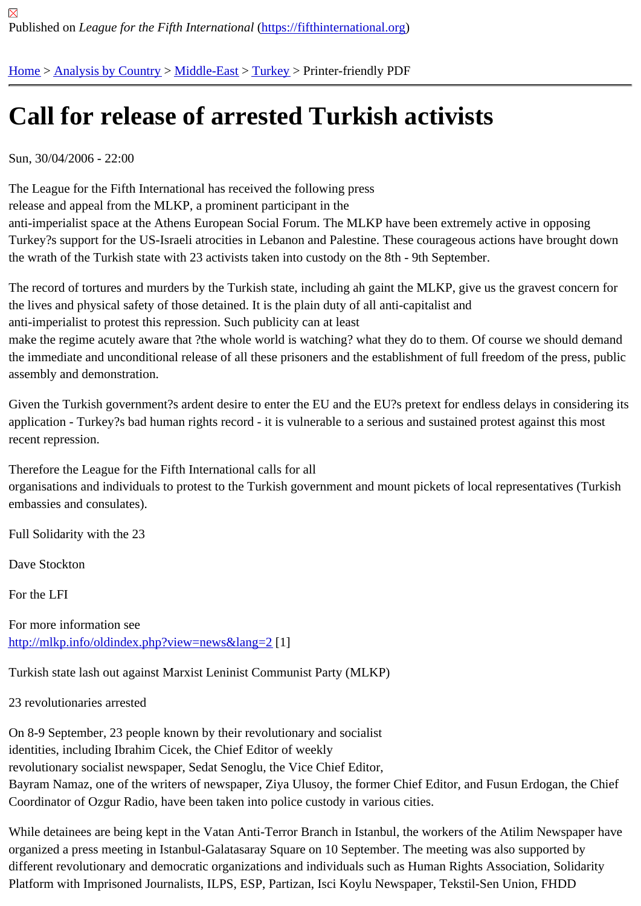## [Ca](https://fifthinternational.org/)ll [for releas](https://fifthinternational.org/category/1)[e of ar](https://fifthinternational.org/category/1/178)r[este](https://fifthinternational.org/category/1/178/174)d Turkish activists

Sun, 30/04/2006 - 22:00

The League for the Fifth International has received the following press release and appeal from the MLKP, a prominent participant in the anti-imperialist space at the Athens European Social Forum. The MLKP have been extremely active in opposing Turkey?s support for the US-Israeli atrocities in Lebanon and Palestine. These courageous actions have brought d the wrath of the Turkish state with 23 activists taken into custody on the 8th - 9th September.

The record of tortures and murders by the Turkish state, including ah gaint the MLKP, give us the gravest concern the lives and physical safety of those detained. It is the plain duty of all anti-capitalist and anti-imperialist to protest this repression. Such publicity can at least make the regime acutely aware that ?the whole world is watching? what they do to them. Of course we should der the immediate and unconditional release of all these prisoners and the establishment of full freedom of the press, assembly and demonstration.

Given the Turkish government?s ardent desire to enter the EU and the EU?s pretext for endless delays in conside application - Turkey?s bad human rights record - it is vulnerable to a serious and sustained protest against this mo recent repression.

Therefore the League for the Fifth International calls for all

organisations and individuals to protest to the Turkish government and mount pickets of local representatives (Tur embassies and consulates).

Full Solidarity with the 23

Dave Stockton

For the LFI

For more information see http://mlkp.info/oldindex.php?view=news&lang#2

Turkish state lash out against Marxist Leninist Communist Party (MLKP)

[23 revolutionaries arrested](http://mlkp.info/oldindex.php?view=news&lang=2)

On 8-9 September, 23 people known by their revolutionary and socialist identities, including Ibrahim Cicek, the Chief Editor of weekly revolutionary socialist newspaper, Sedat Senoglu, the Vice Chief Editor, Bayram Namaz, one of the writers of newspaper, Ziya Ulusoy, the former Chief Editor, and Fusun Erdogan, the Cl Coordinator of Ozgur Radio, have been taken into police custody in various cities.

While detainees are being kept in the Vatan Anti-Terror Branch in Istanbul, the workers of the Atilim Newspaper ha organized a press meeting in Istanbul-Galatasaray Square on 10 September. The meeting was also supported by different revolutionary and democratic organizations and individuals such as Human Rights Association, Solidarity Platform with Imprisoned Journalists, ILPS, ESP, Partizan, Isci Koylu Newspaper, Tekstil-Sen Union, FHDD